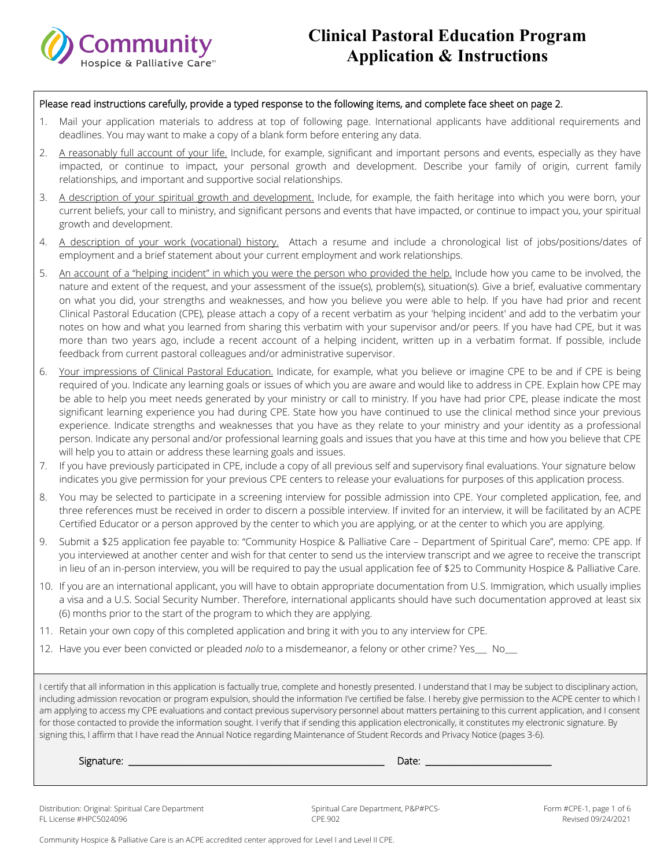

#### Please read instructions carefully, provide a typed response to the following items, and complete face sheet on page 2.

- 1. Mail your application materials to address at top of following page. International applicants have additional requirements and deadlines. You may want to make a copy of a blank form before entering any data.
- 2. A reasonably full account of your life. Include, for example, significant and important persons and events, especially as they have impacted, or continue to impact, your personal growth and development. Describe your family of origin, current family relationships, and important and supportive social relationships.
- 3. A description of your spiritual growth and development. Include, for example, the faith heritage into which you were born, your current beliefs, your call to ministry, and significant persons and events that have impacted, or continue to impact you, your spiritual growth and development.
- 4. A description of your work (vocational) history. Attach a resume and include a chronological list of jobs/positions/dates of employment and a brief statement about your current employment and work relationships.
- 5. An account of a "helping incident" in which you were the person who provided the help. Include how you came to be involved, the nature and extent of the request, and your assessment of the issue(s), problem(s), situation(s). Give a brief, evaluative commentary on what you did, your strengths and weaknesses, and how you believe you were able to help. If you have had prior and recent Clinical Pastoral Education (CPE), please attach a copy of a recent verbatim as your 'helping incident' and add to the verbatim your notes on how and what you learned from sharing this verbatim with your supervisor and/or peers. If you have had CPE, but it was more than two years ago, include a recent account of a helping incident, written up in a verbatim format. If possible, include feedback from current pastoral colleagues and/or administrative supervisor.
- 6. Your impressions of Clinical Pastoral Education. Indicate, for example, what you believe or imagine CPE to be and if CPE is being required of you. Indicate any learning goals or issues of which you are aware and would like to address in CPE. Explain how CPE may be able to help you meet needs generated by your ministry or call to ministry. If you have had prior CPE, please indicate the most significant learning experience you had during CPE. State how you have continued to use the clinical method since your previous experience. Indicate strengths and weaknesses that you have as they relate to your ministry and your identity as a professional person. Indicate any personal and/or professional learning goals and issues that you have at this time and how you believe that CPE will help you to attain or address these learning goals and issues.
- 7. If you have previously participated in CPE, include a copy of all previous self and supervisory final evaluations. Your signature below indicates you give permission for your previous CPE centers to release your evaluations for purposes of this application process.
- 8. You may be selected to participate in a screening interview for possible admission into CPE. Your completed application, fee, and three references must be received in order to discern a possible interview. If invited for an interview, it will be facilitated by an ACPE Certified Educator or a person approved by the center to which you are applying, or at the center to which you are applying.
- 9. Submit a \$25 application fee payable to: "Community Hospice & Palliative Care Department of Spiritual Care", memo: CPE app. If you interviewed at another center and wish for that center to send us the interview transcript and we agree to receive the transcript in lieu of an in-person interview, you will be required to pay the usual application fee of \$25 to Community Hospice & Palliative Care.
- 10. If you are an international applicant, you will have to obtain appropriate documentation from U.S. Immigration, which usually implies a visa and a U.S. Social Security Number. Therefore, international applicants should have such documentation approved at least six (6) months prior to the start of the program to which they are applying.
- 11. Retain your own copy of this completed application and bring it with you to any interview for CPE.
- 12. Have you ever been convicted or pleaded *nolo* to a misdemeanor, a felony or other crime? Yes\_\_\_ No\_\_\_

I certify that all information in this application is factually true, complete and honestly presented. I understand that I may be subject to disciplinary action, including admission revocation or program expulsion, should the information I've certified be false. I hereby give permission to the ACPE center to which I am applying to access my CPE evaluations and contact previous supervisory personnel about matters pertaining to this current application, and I consent for those contacted to provide the information sought. I verify that if sending this application electronically, it constitutes my electronic signature. By signing this, I affirm that I have read the Annual Notice regarding Maintenance of Student Records and Privacy Notice (pages 3-6).

Signature: \_\_\_\_\_\_\_\_\_\_\_\_\_\_\_\_\_\_\_\_\_\_\_\_\_\_\_\_\_\_\_\_\_\_\_\_\_\_\_\_\_\_\_\_\_\_\_\_\_\_\_\_\_\_\_\_\_\_\_\_\_\_\_ Date: \_\_\_\_\_\_\_\_\_\_\_\_\_\_\_\_\_\_\_\_\_\_\_\_\_\_\_\_\_\_\_

Distribution: Original: Spiritual Care Department FL License #HPC5024096

Spiritual Care Department, P&P#PCS-CPE.902

Form #CPE-1, page 1 of 6 Revised 09/24/2021

Community Hospice & Palliative Care is an ACPE accredited center approved for Level I and Level II CPE.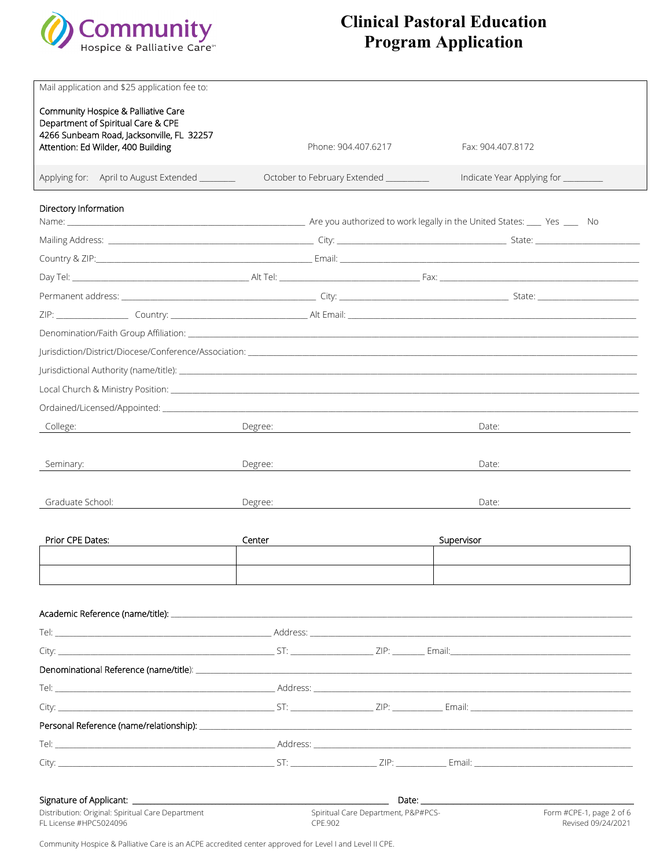

| Mail application and \$25 application fee to:                                                                                                                                                                                  |                                                                                                                                                                                                                                     |                     |                   |                                                |  |
|--------------------------------------------------------------------------------------------------------------------------------------------------------------------------------------------------------------------------------|-------------------------------------------------------------------------------------------------------------------------------------------------------------------------------------------------------------------------------------|---------------------|-------------------|------------------------------------------------|--|
|                                                                                                                                                                                                                                |                                                                                                                                                                                                                                     |                     |                   |                                                |  |
| Community Hospice & Palliative Care<br>Department of Spiritual Care & CPE<br>4266 Sunbeam Road, Jacksonville, FL 32257<br>Attention: Ed Wilder, 400 Building                                                                   |                                                                                                                                                                                                                                     | Phone: 904.407.6217 | Fax: 904.407.8172 |                                                |  |
| Applying for: April to August Extended _______                                                                                                                                                                                 | October to February Extended _________                                                                                                                                                                                              |                     |                   | Indicate Year Applying for ________            |  |
| Directory Information                                                                                                                                                                                                          |                                                                                                                                                                                                                                     |                     |                   |                                                |  |
|                                                                                                                                                                                                                                |                                                                                                                                                                                                                                     |                     |                   |                                                |  |
|                                                                                                                                                                                                                                |                                                                                                                                                                                                                                     |                     |                   |                                                |  |
| Country & ZIP: No. 2008. The Country & ZIP: No. 2008. The Country & ZIP: No. 2008. The Country & ZIP: No. 2008. The Country & ZIP: No. 2008. The Country & ZIP: No. 2008. The Country of Country and Country and Country of Co |                                                                                                                                                                                                                                     |                     |                   |                                                |  |
|                                                                                                                                                                                                                                |                                                                                                                                                                                                                                     |                     |                   |                                                |  |
|                                                                                                                                                                                                                                |                                                                                                                                                                                                                                     |                     |                   |                                                |  |
|                                                                                                                                                                                                                                |                                                                                                                                                                                                                                     |                     |                   |                                                |  |
|                                                                                                                                                                                                                                |                                                                                                                                                                                                                                     |                     |                   |                                                |  |
| urisdiction/District/Diocese/Conference/Association:                                                                                                                                                                           |                                                                                                                                                                                                                                     |                     |                   |                                                |  |
|                                                                                                                                                                                                                                |                                                                                                                                                                                                                                     |                     |                   |                                                |  |
|                                                                                                                                                                                                                                |                                                                                                                                                                                                                                     |                     |                   |                                                |  |
|                                                                                                                                                                                                                                |                                                                                                                                                                                                                                     |                     |                   |                                                |  |
| College:                                                                                                                                                                                                                       | Degree:<br>Date:                                                                                                                                                                                                                    |                     |                   |                                                |  |
|                                                                                                                                                                                                                                |                                                                                                                                                                                                                                     |                     |                   |                                                |  |
| Seminary:                                                                                                                                                                                                                      | Degree:                                                                                                                                                                                                                             |                     | Date:             |                                                |  |
|                                                                                                                                                                                                                                |                                                                                                                                                                                                                                     |                     |                   |                                                |  |
| Graduate School:                                                                                                                                                                                                               | Degree:                                                                                                                                                                                                                             |                     | Date:             |                                                |  |
|                                                                                                                                                                                                                                |                                                                                                                                                                                                                                     |                     |                   |                                                |  |
| Prior CPE Dates:                                                                                                                                                                                                               | Center                                                                                                                                                                                                                              |                     | Supervisor        |                                                |  |
|                                                                                                                                                                                                                                |                                                                                                                                                                                                                                     |                     |                   |                                                |  |
|                                                                                                                                                                                                                                |                                                                                                                                                                                                                                     |                     |                   |                                                |  |
|                                                                                                                                                                                                                                |                                                                                                                                                                                                                                     |                     |                   |                                                |  |
|                                                                                                                                                                                                                                |                                                                                                                                                                                                                                     |                     |                   |                                                |  |
|                                                                                                                                                                                                                                |                                                                                                                                                                                                                                     |                     |                   |                                                |  |
|                                                                                                                                                                                                                                |                                                                                                                                                                                                                                     |                     |                   |                                                |  |
|                                                                                                                                                                                                                                |                                                                                                                                                                                                                                     |                     |                   |                                                |  |
|                                                                                                                                                                                                                                |                                                                                                                                                                                                                                     |                     |                   |                                                |  |
|                                                                                                                                                                                                                                |                                                                                                                                                                                                                                     |                     |                   |                                                |  |
|                                                                                                                                                                                                                                |                                                                                                                                                                                                                                     |                     |                   |                                                |  |
|                                                                                                                                                                                                                                |                                                                                                                                                                                                                                     |                     |                   |                                                |  |
|                                                                                                                                                                                                                                |                                                                                                                                                                                                                                     |                     |                   |                                                |  |
|                                                                                                                                                                                                                                |                                                                                                                                                                                                                                     |                     |                   |                                                |  |
|                                                                                                                                                                                                                                |                                                                                                                                                                                                                                     |                     |                   |                                                |  |
|                                                                                                                                                                                                                                | <b>Example 2</b> Date: the contract of the contract of the contract of the contract of the contract of the contract of the contract of the contract of the contract of the contract of the contract of the contract of the contract |                     |                   |                                                |  |
| Distribution: Original: Spiritual Care Department<br>FL License #HPC5024096                                                                                                                                                    | Spiritual Care Department, P&P#PCS-<br>CPE.902                                                                                                                                                                                      |                     |                   | Form #CPE-1, page 2 of 6<br>Revised 09/24/2021 |  |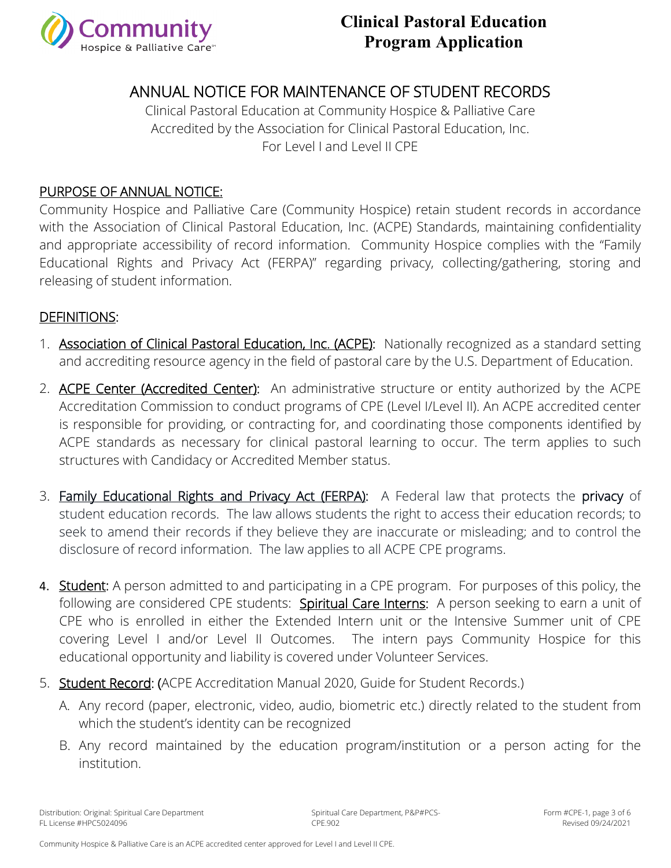

### ANNUAL NOTICE FOR MAINTENANCE OF STUDENT RECORDS

Clinical Pastoral Education at Community Hospice & Palliative Care Accredited by the Association for Clinical Pastoral Education, Inc. For Level I and Level II CPE

#### PURPOSE OF ANNUAL NOTICE:

Community Hospice and Palliative Care (Community Hospice) retain student records in accordance with the Association of Clinical Pastoral Education, Inc. (ACPE) Standards, maintaining confidentiality and appropriate accessibility of record information. Community Hospice complies with the "Family Educational Rights and Privacy Act (FERPA)" regarding privacy, collecting/gathering, storing and releasing of student information.

#### DEFINITIONS:

- 1. Association of Clinical Pastoral Education, Inc. (ACPE): Nationally recognized as a standard setting and accrediting resource agency in the field of pastoral care by the U.S. Department of Education.
- 2. **ACPE Center (Accredited Center):** An administrative structure or entity authorized by the ACPE Accreditation Commission to conduct programs of CPE (Level I/Level II). An ACPE accredited center is responsible for providing, or contracting for, and coordinating those components identified by ACPE standards as necessary for clinical pastoral learning to occur. The term applies to such structures with Candidacy or Accredited Member status.
- 3. Family Educational Rights and Privacy Act (FERPA): A Federal law that protects the privacy of student education records. The law allows students the right to access their education records; to seek to amend their records if they believe they are inaccurate or misleading; and to control the disclosure of record information. The law applies to all ACPE CPE programs.
- 4. **Student:** A person admitted to and participating in a CPE program. For purposes of this policy, the following are considered CPE students: Spiritual Care Interns: A person seeking to earn a unit of CPE who is enrolled in either the Extended Intern unit or the Intensive Summer unit of CPE covering Level I and/or Level II Outcomes. The intern pays Community Hospice for this educational opportunity and liability is covered under Volunteer Services.
- 5. Student Record: (ACPE Accreditation Manual 2020, Guide for Student Records.)
	- A. Any record (paper, electronic, video, audio, biometric etc.) directly related to the student from which the student's identity can be recognized
	- B. Any record maintained by the education program/institution or a person acting for the institution.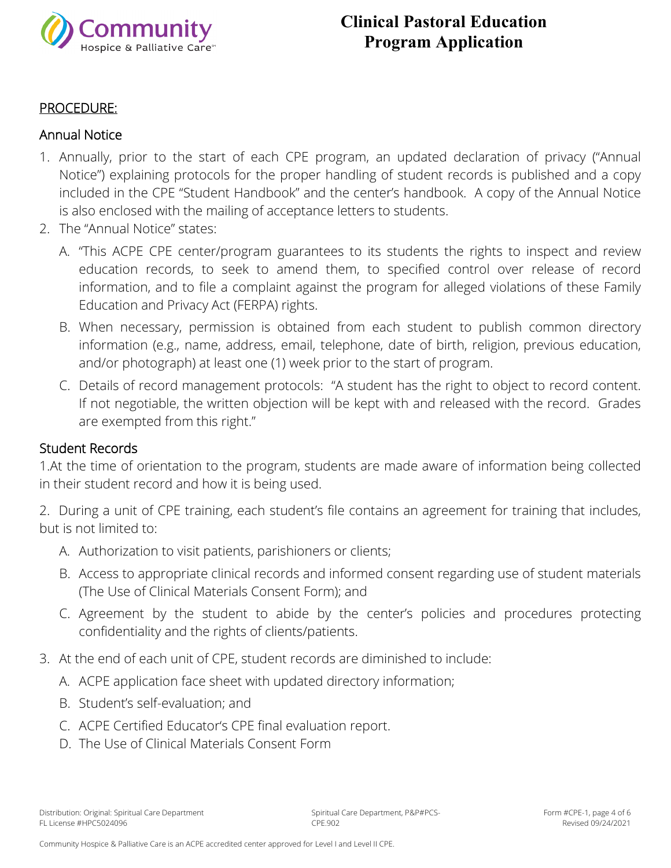

#### PROCEDURE:

#### Annual Notice

- 1. Annually, prior to the start of each CPE program, an updated declaration of privacy ("Annual Notice") explaining protocols for the proper handling of student records is published and a copy included in the CPE "Student Handbook" and the center's handbook. A copy of the Annual Notice is also enclosed with the mailing of acceptance letters to students.
- 2. The "Annual Notice" states:
	- A. "This ACPE CPE center/program guarantees to its students the rights to inspect and review education records, to seek to amend them, to specified control over release of record information, and to file a complaint against the program for alleged violations of these Family Education and Privacy Act (FERPA) rights.
	- B. When necessary, permission is obtained from each student to publish common directory information (e.g., name, address, email, telephone, date of birth, religion, previous education, and/or photograph) at least one (1) week prior to the start of program.
	- C. Details of record management protocols: "A student has the right to object to record content. If not negotiable, the written objection will be kept with and released with the record. Grades are exempted from this right."

#### Student Records

1.At the time of orientation to the program, students are made aware of information being collected in their student record and how it is being used.

2. During a unit of CPE training, each student's file contains an agreement for training that includes, but is not limited to:

- A. Authorization to visit patients, parishioners or clients;
- B. Access to appropriate clinical records and informed consent regarding use of student materials (The Use of Clinical Materials Consent Form); and
- C. Agreement by the student to abide by the center's policies and procedures protecting confidentiality and the rights of clients/patients.
- 3. At the end of each unit of CPE, student records are diminished to include:
	- A. ACPE application face sheet with updated directory information;
	- B. Student's self-evaluation; and
	- C. ACPE Certified Educator's CPE final evaluation report.
	- D. The Use of Clinical Materials Consent Form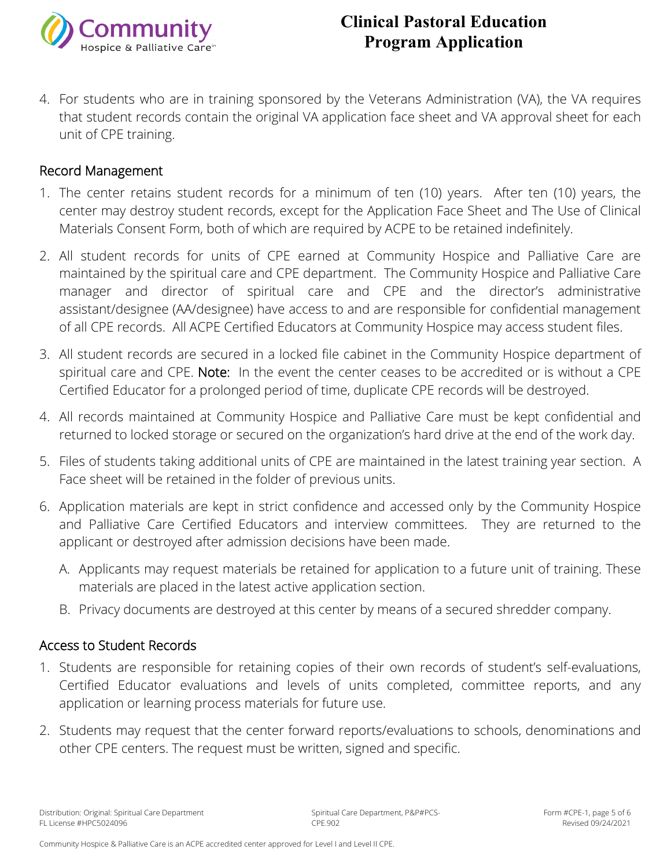

4. For students who are in training sponsored by the Veterans Administration (VA), the VA requires that student records contain the original VA application face sheet and VA approval sheet for each unit of CPE training.

#### Record Management

- 1. The center retains student records for a minimum of ten (10) years. After ten (10) years, the center may destroy student records, except for the Application Face Sheet and The Use of Clinical Materials Consent Form, both of which are required by ACPE to be retained indefinitely.
- 2. All student records for units of CPE earned at Community Hospice and Palliative Care are maintained by the spiritual care and CPE department. The Community Hospice and Palliative Care manager and director of spiritual care and CPE and the director's administrative assistant/designee (AA/designee) have access to and are responsible for confidential management of all CPE records. All ACPE Certified Educators at Community Hospice may access student files.
- 3. All student records are secured in a locked file cabinet in the Community Hospice department of spiritual care and CPE. Note: In the event the center ceases to be accredited or is without a CPE Certified Educator for a prolonged period of time, duplicate CPE records will be destroyed.
- 4. All records maintained at Community Hospice and Palliative Care must be kept confidential and returned to locked storage or secured on the organization's hard drive at the end of the work day.
- 5. Files of students taking additional units of CPE are maintained in the latest training year section. A Face sheet will be retained in the folder of previous units.
- 6. Application materials are kept in strict confidence and accessed only by the Community Hospice and Palliative Care Certified Educators and interview committees. They are returned to the applicant or destroyed after admission decisions have been made.
	- A. Applicants may request materials be retained for application to a future unit of training. These materials are placed in the latest active application section.
	- B. Privacy documents are destroyed at this center by means of a secured shredder company.

#### Access to Student Records

- 1. Students are responsible for retaining copies of their own records of student's self-evaluations, Certified Educator evaluations and levels of units completed, committee reports, and any application or learning process materials for future use.
- 2. Students may request that the center forward reports/evaluations to schools, denominations and other CPE centers. The request must be written, signed and specific.